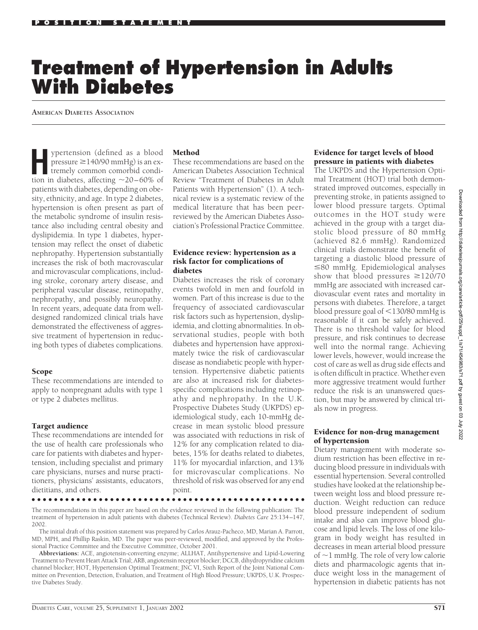# **Treatment of Hypertension in Adults With Diabetes**

**AMERICAN DIABETES ASSOCIATION**

ypertension (defined as a blood pressure  $\geq$  140/90 mmHg) is an extremely common comorbid condition in diabetes, affecting  $\sim$ 20–60% of patients with diabetes, depending on obesity, ethnicity, and age. In type 2 diabetes, hypertension is often present as part of the metabolic syndrome of insulin resistance also including central obesity and dyslipidemia. In type 1 diabetes, hypertension may reflect the onset of diabetic nephropathy. Hypertension substantially increases the risk of both macrovascular and microvascular complications, including stroke, coronary artery disease, and peripheral vascular disease, retinopathy, nephropathy, and possibly neuropathy. In recent years, adequate data from welldesigned randomized clinical trials have demonstrated the effectiveness of aggressive treatment of hypertension in reducing both types of diabetes complications.

## Scope

These recommendations are intended to apply to nonpregnant adults with type 1 or type 2 diabetes mellitus.

## Target audience

These recommendations are intended for the use of health care professionals who care for patients with diabetes and hypertension, including specialist and primary care physicians, nurses and nurse practitioners, physicians' assistants, educators, dietitians, and others.

## Method

These recommendations are based on the American Diabetes Association Technical Review "Treatment of Diabetes in Adult Patients with Hypertension" (1). A technical review is a systematic review of the medical literature that has been peerreviewed by the American Diabetes Association's Professional Practice Committee.

#### Evidence review: hypertension as a risk factor for complications of diabetes

Diabetes increases the risk of coronary events twofold in men and fourfold in women. Part of this increase is due to the frequency of associated cardiovascular risk factors such as hypertension, dyslipidemia, and clotting abnormalities. In observational studies, people with both diabetes and hypertension have approximately twice the risk of cardiovascular disease as nondiabetic people with hypertension. Hypertensive diabetic patients are also at increased risk for diabetesspecific complications including retinopathy and nephropathy. In the U.K. Prospective Diabetes Study (UKPDS) epidemiological study, each 10-mmHg decrease in mean systolic blood pressure was associated with reductions in risk of 12% for any complication related to diabetes, 15% for deaths related to diabetes, 11% for myocardial infarction, and 13% for microvascular complications. No threshold of risk was observed for any end point.

The recommendations in this paper are based on the evidence reviewed in the following publication: The treatment of hypertension in adult patients with diabetes (Technical Review). *Diabetes Care* 25:134–147, 2002.

●●●●●●●●●●●●●●●●●●●●●●●●●●●●●●●●●●●●●●●●●●●●●●●●●

The initial draft of this position statement was prepared by Carlos Arauz-Pacheco, MD, Marian A. Parrott, MD, MPH, and Phillip Raskin, MD. The paper was peer-reviewed, modified, and approved by the Professional Practice Committee and the Executive Committee, October 2001.

**Abbreviations:** ACE, angiotensin-converting enzyme; ALLHAT, Antihypertensive and Lipid-Lowering Treatment to Prevent Heart Attack Trial; ARB, angiotensin receptor blocker; DCCB, dihydropyridine calcium channel blocker; HOT, Hypertension Optimal Treatment; JNC VI, Sixth Report of the Joint National Committee on Prevention, Detection, Evaluation, and Treatment of High Blood Pressure; UKPDS, U.K. Prospective Diabetes Study.

## Evidence for target levels of blood pressure in patients with diabetes

The UKPDS and the Hypertension Optimal Treatment (HOT) trial both demonstrated improved outcomes, especially in preventing stroke, in patients assigned to lower blood pressure targets. Optimal outcomes in the HOT study were achieved in the group with a target diastolic blood pressure of 80 mmHg (achieved 82.6 mmHg). Randomized clinical trials demonstrate the benefit of targeting a diastolic blood pressure of -80 mmHg. Epidemiological analyses show that blood pressures  $\geq$ 120/70 mmHg are associated with increased cardiovascular event rates and mortality in persons with diabetes. Therefore, a target blood pressure goal of <130/80 mmHg is reasonable if it can be safely achieved. There is no threshold value for blood pressure, and risk continues to decrease well into the normal range. Achieving lower levels, however, would increase the cost of care as well as drug side effects and is often difficult in practice. Whether even more aggressive treatment would further reduce the risk is an unanswered question, but may be answered by clinical trials now in progress.

#### Evidence for non-drug management of hypertension

Dietary management with moderate sodium restriction has been effective in reducing blood pressure in individuals with essential hypertension. Several controlled studies have looked at the relationship between weight loss and blood pressure reduction. Weight reduction can reduce blood pressure independent of sodium intake and also can improve blood glucose and lipid levels. The loss of one kilogram in body weight has resulted in decreases in mean arterial blood pressure of  $\sim$  1 mmHg. The role of very low calorie diets and pharmacologic agents that induce weight loss in the management of hypertension in diabetic patients has not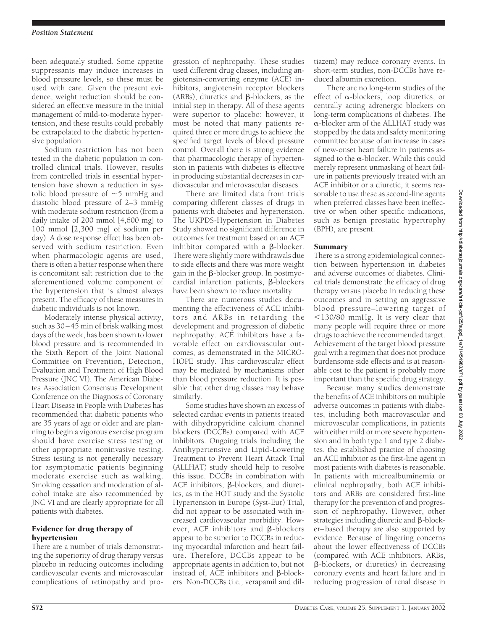been adequately studied. Some appetite suppressants may induce increases in blood pressure levels, so these must be used with care. Given the present evidence, weight reduction should be considered an effective measure in the initial management of mild-to-moderate hypertension, and these results could probably be extrapolated to the diabetic hypertensive population.

Sodium restriction has not been tested in the diabetic population in controlled clinical trials. However, results from controlled trials in essential hypertension have shown a reduction in systolic blood pressure of  $\sim$  5 mmHg and diastolic blood pressure of 2–3 mmHg with moderate sodium restriction (from a daily intake of 200 mmol [4,600 mg] to 100 mmol [2,300 mg] of sodium per day). A dose response effect has been observed with sodium restriction. Even when pharmacologic agents are used, there is often a better response when there is concomitant salt restriction due to the aforementioned volume component of the hypertension that is almost always present. The efficacy of these measures in diabetic individuals is not known.

Moderately intense physical activity, such as 30–45 min of brisk walking most days of the week, has been shown to lower blood pressure and is recommended in the Sixth Report of the Joint National Committee on Prevention, Detection, Evaluation and Treatment of High Blood Pressure (JNC VI). The American Diabetes Association Consensus Development Conference on the Diagnosis of Coronary Heart Disease in People with Diabetes has recommended that diabetic patients who are 35 years of age or older and are planning to begin a vigorous exercise program should have exercise stress testing or other appropriate noninvasive testing. Stress testing is not generally necessary for asymptomatic patients beginning moderate exercise such as walking. Smoking cessation and moderation of alcohol intake are also recommended by JNC VI and are clearly appropriate for all patients with diabetes.

## Evidence for drug therapy of hypertension

There are a number of trials demonstrating the superiority of drug therapy versus placebo in reducing outcomes including cardiovascular events and microvascular complications of retinopathy and pro-

gression of nephropathy. These studies used different drug classes, including angiotensin-converting enzyme (ACE) inhibitors, angiotensin receptor blockers (ARBs), diuretics and  $\beta$ -blockers, as the initial step in therapy. All of these agents were superior to placebo; however, it must be noted that many patients required three or more drugs to achieve the specified target levels of blood pressure control. Overall there is strong evidence that pharmacologic therapy of hypertension in patients with diabetes is effective in producing substantial decreases in cardiovascular and microvascular diseases.

There are limited data from trials comparing different classes of drugs in patients with diabetes and hypertension. The UKPDS-Hypertension in Diabetes Study showed no significant difference in outcomes for treatment based on an ACE inhibitor compared with a  $\beta$ -blocker. There were slightly more withdrawals due to side effects and there was more weight gain in the  $\beta$ -blocker group. In postmyocardial infarction patients,  $\beta$ -blockers have been shown to reduce mortality.

There are numerous studies documenting the effectiveness of ACE inhibitors and ARBs in retarding the development and progression of diabetic nephropathy. ACE inhibitors have a favorable effect on cardiovascular outcomes, as demonstrated in the MICRO-HOPE study. This cardiovascular effect may be mediated by mechanisms other than blood pressure reduction. It is possible that other drug classes may behave similarly.

Some studies have shown an excess of selected cardiac events in patients treated with dihydropyridine calcium channel blockers (DCCBs) compared with ACE inhibitors. Ongoing trials including the Antihypertensive and Lipid-Lowering Treatment to Prevent Heart Attack Trial (ALLHAT) study should help to resolve this issue. DCCBs in combination with  $ACE$  inhibitors,  $\beta$ -blockers, and diuretics, as in the HOT study and the Systolic Hypertension in Europe (Syst-Eur) Trial, did not appear to be associated with increased cardiovascular morbidity. However, ACE inhibitors and  $\beta$ -blockers appear to be superior to DCCBs in reducing myocardial infarction and heart failure. Therefore, DCCBs appear to be appropriate agents in addition to, but not instead of, ACE inhibitors and  $\beta$ -blockers. Non-DCCBs (i.e., verapamil and dil-

tiazem) may reduce coronary events. In short-term studies, non-DCCBs have reduced albumin excretion.

There are no long-term studies of the effect of  $\alpha$ -blockers, loop diuretics, or centrally acting adrenergic blockers on long-term complications of diabetes. The  $\alpha$ -blocker arm of the ALLHAT study was stopped by the data and safety monitoring committee because of an increase in cases of new-onset heart failure in patients assigned to the  $\alpha$ -blocker. While this could merely represent unmasking of heart failure in patients previously treated with an ACE inhibitor or a diuretic, it seems reasonable to use these as second-line agents when preferred classes have been ineffective or when other specific indications, such as benign prostatic hypertrophy (BPH), are present.

## Summary

There is a strong epidemiological connection between hypertension in diabetes and adverse outcomes of diabetes. Clinical trials demonstrate the efficacy of drug therapy versus placebo in reducing these outcomes and in setting an aggressive blood pressure–lowering target of -130/80 mmHg. It is very clear that many people will require three or more drugs to achieve the recommended target. Achievement of the target blood pressure goal with a regimen that does not produce burdensome side effects and is at reasonable cost to the patient is probably more important than the specific drug strategy.

Because many studies demonstrate the benefits of ACE inhibitors on multiple adverse outcomes in patients with diabetes, including both macrovascular and microvascular complications, in patients with either mild or more severe hypertension and in both type 1 and type 2 diabetes, the established practice of choosing an ACE inhibitor as the first-line agent in most patients with diabetes is reasonable. In patients with microalbuminemia or clinical nephropathy, both ACE inhibitors and ARBs are considered first-line therapy for the prevention of and progression of nephropathy. However, other strategies including diuretic and  $\beta$ -blocker–based therapy are also supported by evidence. Because of lingering concerns about the lower effectiveness of DCCBs (compared with ACE inhibitors, ARBs,  $\beta$ -blockers, or diuretics) in decreasing coronary events and heart failure and in reducing progression of renal disease in